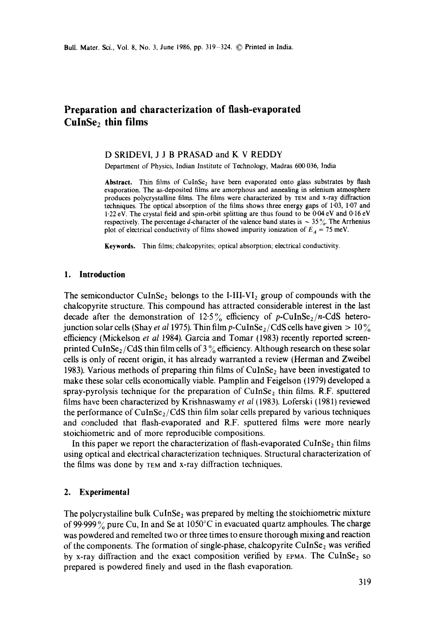# **Preparation and characterization of flash-evaporated CulnSe2 thin films**

#### D SRIDEVI, J J B PRASAD and K V REDDY

Department of Physics, Indian Institute of Technology, Madras 600 036, India

Abstract. Thin films of CuInSe<sub>2</sub> have been evaporated onto glass substrates by flash evaporation. The as-deposited films are amorphous and annealing in selenium atmosphere produces polycrystalline films. The films were characterized by TEM and x-ray diffraction techniques. The optical absorption of the films shows three energy gaps of 1.03, 1.07 and 1.22 eV. The crystal field and spin-orbit splitting are thus found to be 0.04 eV and 0.16 eV respectively. The percentage d-character of the valence band states is  $\sim$  35%. The Arrhenius plot of electrical conductivity of films showed impurity ionization of  $E_A = 75$  meV.

**Keywords.** Thin films; chalcopyrites; optical absorption; electrical conductivity.

#### **1. Introduction**

The semiconductor CuInSe<sub>2</sub> belongs to the I-III-VI<sub>2</sub> group of compounds with the chalcopyrite structure. This compound has attracted considerable interest in the last decade after the demonstration of  $12.5\%$  efficiency of *p*-CuInSe<sub>2</sub>/n-CdS heterojunction solar cells (Shay *et al* 1975). Thin film p-CuInSe<sub>2</sub>/CdS cells have given  $> 10\%$ efficiency (Mickelson *et al* 1984). Garcia and Tomar (1983) recently reported screenprinted CuInSe<sub>2</sub>/CdS thin film cells of  $3\%$  efficiency. Although research on these solar cells is only of recent origin, it has already warranted a review (Herman and Zweibel 1983). Various methods of preparing thin films of  $\text{CuInSe}_2$  have been investigated to make these solar cells economically viable. Pamplin and Feigelson (1979) developed a spray-pyrolysis technique for the preparation of  $CuInSe<sub>2</sub>$  thin films. R.F. sputtered films have been characterized by Krishnaswamy *et al* (1983). Loferski (1981) reviewed the performance of CuInSe<sub>2</sub>/CdS thin film solar cells prepared by various techniques and concluded that flash-evaporated and R.F. sputtered films were more nearly stoichiometric and of more reproducible compositions.

In this paper we report the characterization of flash-evaporated CuInSe<sub>2</sub> thin films using optical and electrical characterization techniques. Structural characterization of the films was done by TEM and x-ray diffraction techniques.

### 2. **Experimental**

The polycrystalline bulk CuInSe<sub>2</sub> was prepared by melting the stoichiometric mixture of 99.999% pure Cu, In and Se at 1050°C in evacuated quartz amphoules. The charge was powdered and remelted two or three times to ensure thorough mixing and reaction of the components. The formation of single-phase, chalcopyrite CuInSe<sub>2</sub> was verified by x-ray diffraction and the exact composition verified by  $E_{\text{FMA}}$ . The CuInSe<sub>2</sub> so prepared is powdered finely and used in the flash evaporation.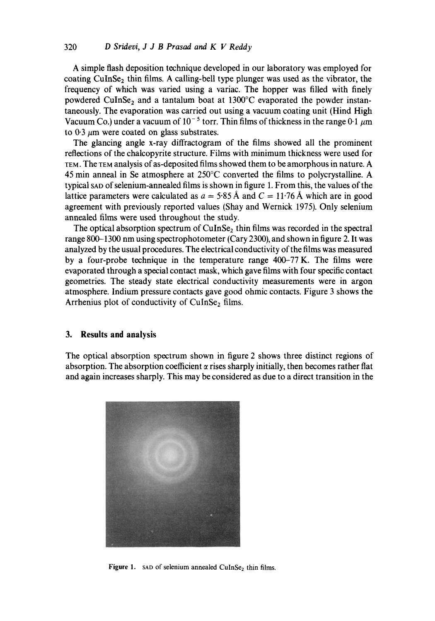A simple flash deposition technique developed in our laboratory was employed for coating CuInSe<sub>2</sub> thin films. A calling-bell type plunger was used as the vibrator, the frequency of which was varied using a variac. The hopper was filled with finely powdered CuInSe<sub>2</sub> and a tantalum boat at  $1300^{\circ}$ C evaporated the powder instantaneously. The evaporation was carried out using a vacuum coating unit (Hind High Vacuum Co.) under a vacuum of  $10^{-5}$  torr. Thin films of thickness in the range 0.1  $\mu$ m to  $0.3 \mu m$  were coated on glass substrates.

The glancing angle x-ray diffractogram of the films showed all the prominent reflections of the chalcopyrite structure. Films with minimum thickness were used for TEM. The TEM analysis of as-deposited films showed them to be amorphous in nature. A 45 min anneal in Se atmosphere at  $250^{\circ}$ C converted the films to polycrystalline. A typical SAD of selenium-annealed films is shown in figure 1. From this, the values of the lattice parameters were calculated as  $a = 5.85 \text{ Å}$  and  $C = 11.76 \text{ Å}$  which are in good agreement with previously reported values (Shay and Wernick 1975). Only selenium annealed films were used throughout the study.

The optical absorption spectrum of  $CuInSe<sub>2</sub>$  thin films was recorded in the spectral range 800-1300 nm using spectrophotometer (Cary 2300), and shown in figure 2. It was analyzed by the usual procedures. The electrical conductivity of the films was measured by a four-probe technique in the temperature range 400-77 K. The films were evaporated through a special contact mask, which gave films with four specific contact geometries. The steady state electrical conductivity measurements were in argon atmosphere. Indium pressure contacts gave good ohmic contacts. Figure 3 shows the Arrhenius plot of conductivity of  $CuInSe<sub>2</sub>$  films.

## **3. Results and analysis**

The optical absorption spectrum shown in figure 2 shows three distinct regions of absorption. The absorption coefficient  $\alpha$  rises sharply initially, then becomes rather flat and again increases sharply. This may be considered as due to a direct transition in the



Figure 1. SAD of selenium annealed CuInSe<sub>2</sub> thin films.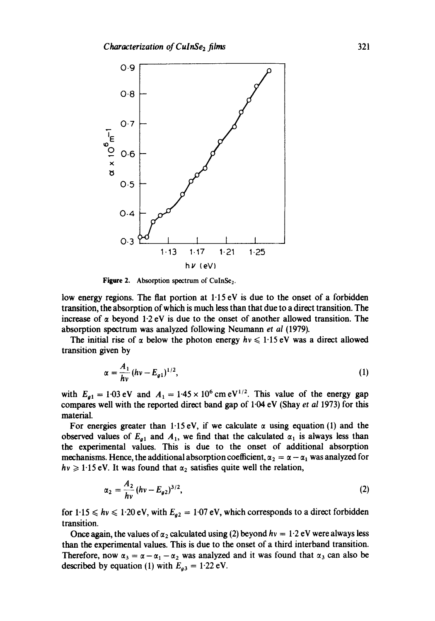

Figure 2. Absorption spectrum of CulnSe<sub>2</sub>.

low energy regions. The flat portion at  $1.15 \text{ eV}$  is due to the onset of a forbidden transition, the absorption of which is much less than that due to a direct transition. The increase of  $\alpha$  beyond 1.2 eV is due to the onset of another allowed transition. The absorption spectrum was analyzed following Neumann *et al* (1979).

The initial rise of  $\alpha$  below the photon energy  $hv \le 1.15 \text{ eV}$  was a direct allowed transition given by

$$
\alpha = \frac{A_1}{h\nu} (h\nu - E_{g1})^{1/2}, \tag{1}
$$

with  $E_{a1} = 1.03$  eV and  $A_1 = 1.45 \times 10^6$  cm eV<sup>1/2</sup>. This value of the energy gap compares well with the reported direct band gap of 1.04 eV (Shay *et al* 1973) for this material.

For energies greater than 1.15 eV, if we calculate  $\alpha$  using equation (1) and the observed values of  $E_{q1}$  and  $A_1$ , we find that the calculated  $\alpha_1$  is always less than the experimental values. This is due to the onset of additional absorption mechanisms. Hence, the additional absorption coefficient,  $\alpha_2 = \alpha - \alpha_1$  was analyzed for  $hv \geq 1.15$  eV. It was found that  $\alpha_2$  satisfies quite well the relation,

$$
\alpha_2 = \frac{A_2}{h\nu} (h\nu - E_{g2})^{3/2}, \tag{2}
$$

for  $1.15 \leq h\nu \leq 1.20 \text{ eV}$ , with  $E_{q2} = 1.07 \text{ eV}$ , which corresponds to a direct forbidden transition.

Once again, the values of  $\alpha_2$  calculated using (2) beyond  $hv = 1.2$  eV were always less than the experimental values. This is due to the onset of a third interband transition. Therefore, now  $\alpha_3 = \alpha - \alpha_1 - \alpha_2$  was analyzed and it was found that  $\alpha_3$  can also be described by equation (1) with  $E_{a3} = 1.22$  eV.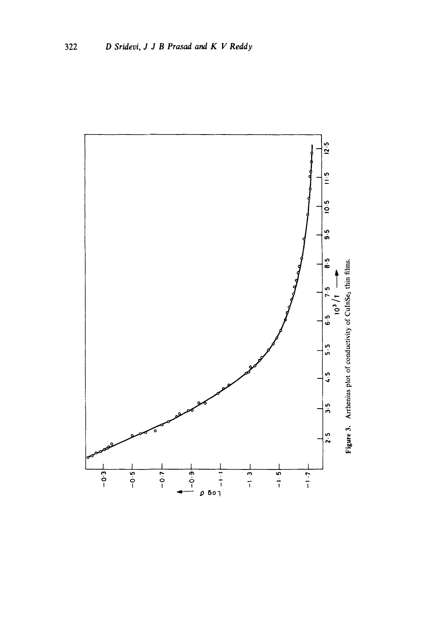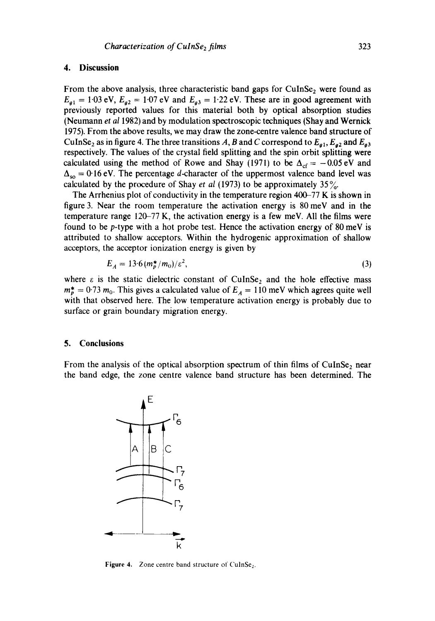## **4. Discussion**

From the above analysis, three characteristic band gaps for  $CuInSe<sub>2</sub>$  were found as  $E_{g1} = 1.03$  eV,  $E_{g2} = 1.07$  eV and  $E_{g3} = 1.22$  eV. These are in good agreement with previously reported values for this material both by optical absorption studies (Neumann *et al* 1982) and by modulation spectroscopic techniques (Shay and Wernick 1975). From the above results, we may draw the zone-centre valence band structure of CuInSe<sub>2</sub> as in figure 4. The three transitions A, B and C correspond to  $E_{g1}$ ,  $E_{g2}$  and  $E_{g3}$ respectively. The values of the crystal field splitting and the spin orbit splitting were calculated using the method of Rowe and Shay (1971) to be  $\Delta_{cf} = -0.05 \text{ eV}$  and  $\Delta_{so} = 0.16$  eV. The percentage *d*-character of the uppermost valence band level was calculated by the procedure of Shay *et al* (1973) to be approximately  $35\%$ .

The Arrhenius plot of conductivity in the temperature region 400-77 K is shown in figure 3. Near the room temperature the activation energy is 80 meV and in the temperature range 120-77 K, the activation energy is a few meV. All the films were found to be p-type with a hot probe test. Hence the activation energy of 80 meV is attributed to shallow acceptors. Within the hydrogenic approximation of shallow acceptors, the acceptor ionization energy is given by

$$
E_A = 13.6 \, (m_p^*/m_0)/\varepsilon^2,\tag{3}
$$

where  $\varepsilon$  is the static dielectric constant of CuInSe<sub>2</sub> and the hole effective mass  $m_p^* = 0.73$   $m_0$ . This gives a calculated value of  $E_A = 110$  meV which agrees quite well with that observed here. The low temperature activation energy is probably due to surface or grain boundary migration energy.

#### **5. Conclusions**

From the analysis of the optical absorption spectrum of thin films of CuInSe<sub>2</sub> near the band edge, the zone centre valence band structure has been determined. The



Figure 4. Zone centre band structure of CulnSe<sub>2</sub>.